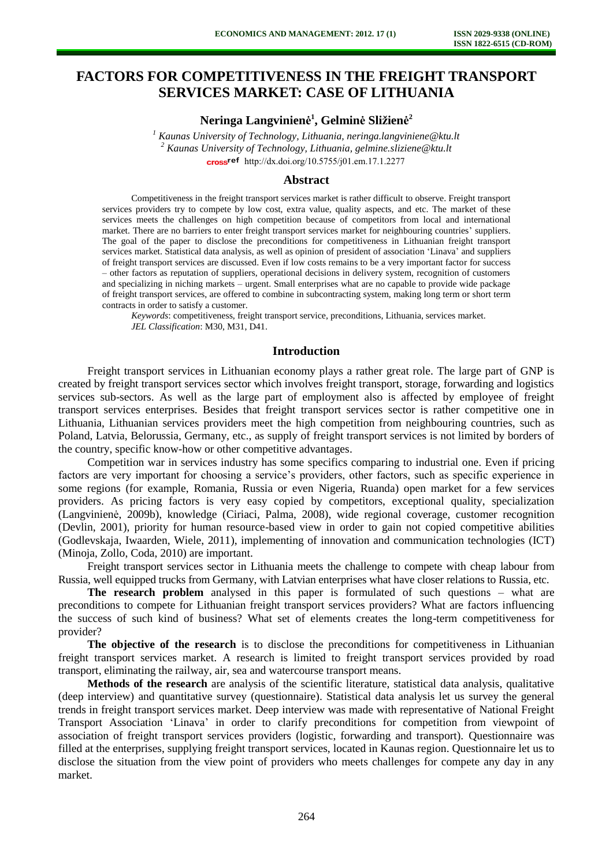# **FACTORS FOR COMPETITIVENESS IN THE FREIGHT TRANSPORT SERVICES MARKET: CASE OF LITHUANIA**

## **Neringa Langvinienė 1 , Gelminė Sližienė 2**

<sup>1</sup> Kaunas University of Technology, Lithuania, neringa.langviniene@ktu.lt *2 Kaunas University of Technology, Lithuania, gelmine.sliziene@ktu.lt*  cross<sup>ref</sup> [http://dx.doi.org/10.5755/j01.e](http://dx.doi.org/10.5755/j01.em.17.1.2277)m.17.1.2277

#### **Abstract**

Competitiveness in the freight transport services market is rather difficult to observe. Freight transport services providers try to compete by low cost, extra value, quality aspects, and etc. The market of these services meets the challenges on high competition because of competitors from local and international market. There are no barriers to enter freight transport services market for neighbouring countries' suppliers. The goal of the paper to disclose the preconditions for competitiveness in Lithuanian freight transport services market. Statistical data analysis, as well as opinion of president of association 'Linava' and suppliers of freight transport services are discussed. Even if low costs remains to be a very important factor for success – other factors as reputation of suppliers, operational decisions in delivery system, recognition of customers and specializing in niching markets – urgent. Small enterprises what are no capable to provide wide package of freight transport services, are offered to combine in subcontracting system, making long term or short term contracts in order to satisfy a customer.

*Keywords*: competitiveness, freight transport service, preconditions, Lithuania, services market. *JEL Classification*: M30, M31, D41.

## **Introduction**

Freight transport services in Lithuanian economy plays a rather great role. The large part of GNP is created by freight transport services sector which involves freight transport, storage, forwarding and logistics services sub-sectors. As well as the large part of employment also is affected by employee of freight transport services enterprises. Besides that freight transport services sector is rather competitive one in Lithuania, Lithuanian services providers meet the high competition from neighbouring countries, such as Poland, Latvia, Belorussia, Germany, etc., as supply of freight transport services is not limited by borders of the country, specific know-how or other competitive advantages.

Competition war in services industry has some specifics comparing to industrial one. Even if pricing factors are very important for choosing a service's providers, other factors, such as specific experience in some regions (for example, Romania, Russia or even Nigeria, Ruanda) open market for a few services providers. As pricing factors is very easy copied by competitors, exceptional quality, specialization (Langvinienė, 2009b), knowledge (Ciriaci, Palma, 2008), wide regional coverage, customer recognition (Devlin, 2001), priority for human resource-based view in order to gain not copied competitive abilities (Godlevskaja, Iwaarden, Wiele, 2011), implementing of innovation and communication technologies (ICT) (Minoja, Zollo, Coda, 2010) are important.

Freight transport services sector in Lithuania meets the challenge to compete with cheap labour from Russia, well equipped trucks from Germany, with Latvian enterprises what have closer relations to Russia, etc.

**The research problem** analysed in this paper is formulated of such questions – what are preconditions to compete for Lithuanian freight transport services providers? What are factors influencing the success of such kind of business? What set of elements creates the long-term competitiveness for provider?

**The objective of the research** is to disclose the preconditions for competitiveness in Lithuanian freight transport services market. A research is limited to freight transport services provided by road transport, eliminating the railway, air, sea and watercourse transport means.

**Methods of the research** are analysis of the scientific literature, statistical data analysis, qualitative (deep interview) and quantitative survey (questionnaire). Statistical data analysis let us survey the general trends in freight transport services market. Deep interview was made with representative of National Freight Transport Association 'Linava' in order to clarify preconditions for competition from viewpoint of association of freight transport services providers (logistic, forwarding and transport). Questionnaire was filled at the enterprises, supplying freight transport services, located in Kaunas region. Questionnaire let us to disclose the situation from the view point of providers who meets challenges for compete any day in any market.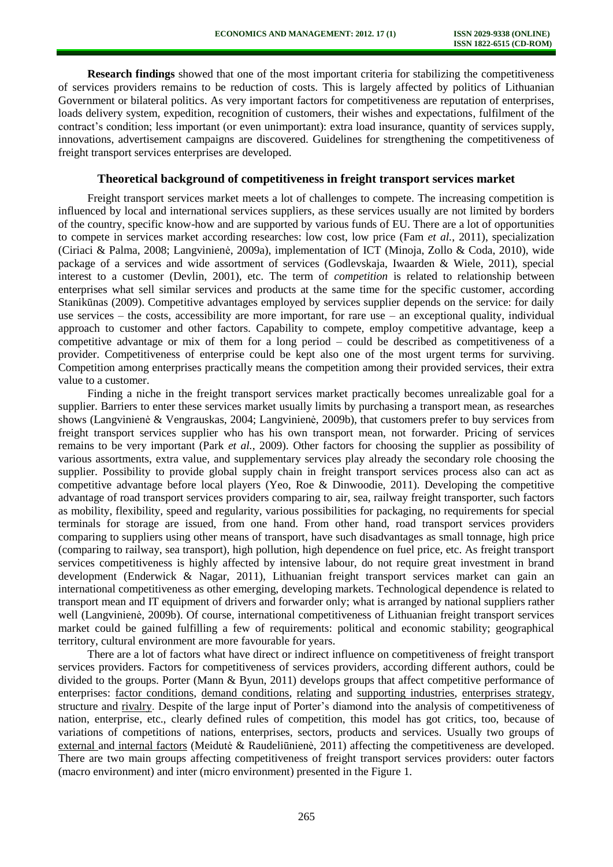**Research findings** showed that one of the most important criteria for stabilizing the competitiveness of services providers remains to be reduction of costs. This is largely affected by politics of Lithuanian Government or bilateral politics. As very important factors for competitiveness are reputation of enterprises, loads delivery system, expedition, recognition of customers, their wishes and expectations, fulfilment of the contract's condition; less important (or even unimportant): extra load insurance, quantity of services supply, innovations, advertisement campaigns are discovered. Guidelines for strengthening the competitiveness of freight transport services enterprises are developed.

#### **Theoretical background of competitiveness in freight transport services market**

Freight transport services market meets a lot of challenges to compete. The increasing competition is influenced by local and international services suppliers, as these services usually are not limited by borders of the country, specific know-how and are supported by various funds of EU. There are a lot of opportunities to compete in services market according researches: low cost, low price (Fam *et al.*, 2011), specialization (Ciriaci & Palma, 2008; Langvinienė, 2009a), implementation of ICT (Minoja, Zollo & Coda, 2010), wide package of a services and wide assortment of services (Godlevskaja, Iwaarden & Wiele, 2011), special interest to a customer (Devlin, 2001), etc. The term of *competition* is related to relationship between enterprises what sell similar services and products at the same time for the specific customer, according Stanikūnas (2009). Competitive advantages employed by services supplier depends on the service: for daily use services – the costs, accessibility are more important, for rare use – an exceptional quality, individual approach to customer and other factors. Capability to compete, employ competitive advantage, keep a competitive advantage or mix of them for a long period – could be described as competitiveness of a provider. Competitiveness of enterprise could be kept also one of the most urgent terms for surviving. Competition among enterprises practically means the competition among their provided services, their extra value to a customer.

Finding a niche in the freight transport services market practically becomes unrealizable goal for a supplier. Barriers to enter these services market usually limits by purchasing a transport mean, as researches shows (Langvinienė & Vengrauskas, 2004; Langvinienė, 2009b), that customers prefer to buy services from freight transport services supplier who has his own transport mean, not forwarder. Pricing of services remains to be very important (Park *et al.*, 2009). Other factors for choosing the supplier as possibility of various assortments, extra value, and supplementary services play already the secondary role choosing the supplier. Possibility to provide global supply chain in freight transport services process also can act as competitive advantage before local players (Yeo, Roe & Dinwoodie, 2011). Developing the competitive advantage of road transport services providers comparing to air, sea, railway freight transporter, such factors as mobility, flexibility, speed and regularity, various possibilities for packaging, no requirements for special terminals for storage are issued, from one hand. From other hand, road transport services providers comparing to suppliers using other means of transport, have such disadvantages as small tonnage, high price (comparing to railway, sea transport), high pollution, high dependence on fuel price, etc. As freight transport services competitiveness is highly affected by intensive labour, do not require great investment in brand development (Enderwick & Nagar, 2011), Lithuanian freight transport services market can gain an international competitiveness as other emerging, developing markets. Technological dependence is related to transport mean and IT equipment of drivers and forwarder only; what is arranged by national suppliers rather well (Langvinienė, 2009b). Of course, international competitiveness of Lithuanian freight transport services market could be gained fulfilling a few of requirements: political and economic stability; geographical territory, cultural environment are more favourable for years.

There are a lot of factors what have direct or indirect influence on competitiveness of freight transport services providers. Factors for competitiveness of services providers, according different authors, could be divided to the groups. Porter (Mann & Byun, 2011) develops groups that affect competitive performance of enterprises: factor conditions, demand conditions, relating and supporting industries, enterprises strategy, structure and rivalry. Despite of the large input of Porter's diamond into the analysis of competitiveness of nation, enterprise, etc., clearly defined rules of competition, this model has got critics, too, because of variations of competitions of nations, enterprises, sectors, products and services. Usually two groups of external and internal factors (Meidutė & Raudeliūnienė, 2011) affecting the competitiveness are developed. There are two main groups affecting competitiveness of freight transport services providers: outer factors (macro environment) and inter (micro environment) presented in the Figure 1.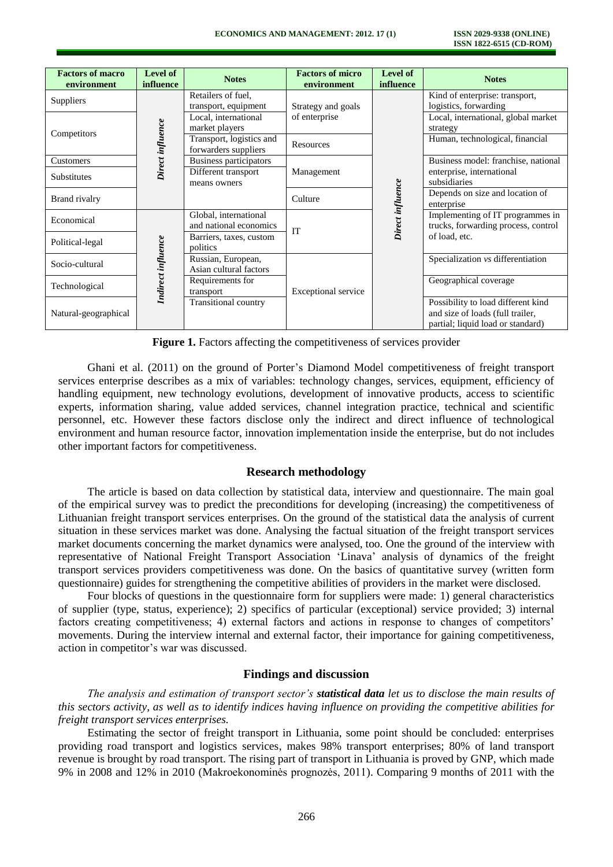| <b>Factors of macro</b><br>environment | Level of<br>influence | <b>Notes</b>                                     | <b>Factors of micro</b><br>environment | Level of<br>influence | <b>Notes</b>                                                                                                |
|----------------------------------------|-----------------------|--------------------------------------------------|----------------------------------------|-----------------------|-------------------------------------------------------------------------------------------------------------|
| Suppliers                              | Direct influence      | Retailers of fuel,<br>transport, equipment       | Strategy and goals<br>of enterprise    | Direct influence      | Kind of enterprise: transport,<br>logistics, forwarding                                                     |
| Competitors                            |                       | Local, international<br>market players           |                                        |                       | Local, international, global market<br>strategy                                                             |
|                                        |                       | Transport, logistics and<br>forwarders suppliers | Resources                              |                       | Human, technological, financial                                                                             |
| Customers                              |                       | Business participators                           | Management                             |                       | Business model: franchise, national                                                                         |
| Substitutes                            |                       | Different transport<br>means owners              |                                        |                       | enterprise, international<br>subsidiaries                                                                   |
| Brand rivalry                          |                       |                                                  | Culture                                |                       | Depends on size and location of<br>enterprise                                                               |
| Economical                             | Indirect influence    | Global, international<br>and national economics  | <b>IT</b>                              |                       | Implementing of IT programmes in<br>trucks, forwarding process, control                                     |
| Political-legal                        |                       | Barriers, taxes, custom<br>politics              |                                        |                       | of load, etc.                                                                                               |
| Socio-cultural                         |                       | Russian, European,<br>Asian cultural factors     | Exceptional service                    |                       | Specialization vs differentiation                                                                           |
| Technological                          |                       | Requirements for<br>transport                    |                                        |                       | Geographical coverage                                                                                       |
| Natural-geographical                   |                       | <b>Transitional country</b>                      |                                        |                       | Possibility to load different kind<br>and size of loads (full trailer,<br>partial; liquid load or standard) |

**Figure 1.** Factors affecting the competitiveness of services provider

Ghani et al. (2011) on the ground of Porter's Diamond Model competitiveness of freight transport services enterprise describes as a mix of variables: technology changes, services, equipment, efficiency of handling equipment, new technology evolutions, development of innovative products, access to scientific experts, information sharing, value added services, channel integration practice, technical and scientific personnel, etc. However these factors disclose only the indirect and direct influence of technological environment and human resource factor, innovation implementation inside the enterprise, but do not includes other important factors for competitiveness.

## **Research methodology**

The article is based on data collection by statistical data, interview and questionnaire. The main goal of the empirical survey was to predict the preconditions for developing (increasing) the competitiveness of Lithuanian freight transport services enterprises. On the ground of the statistical data the analysis of current situation in these services market was done. Analysing the factual situation of the freight transport services market documents concerning the market dynamics were analysed, too. One the ground of the interview with representative of National Freight Transport Association 'Linava' analysis of dynamics of the freight transport services providers competitiveness was done. On the basics of quantitative survey (written form questionnaire) guides for strengthening the competitive abilities of providers in the market were disclosed.

Four blocks of questions in the questionnaire form for suppliers were made: 1) general characteristics of supplier (type, status, experience); 2) specifics of particular (exceptional) service provided; 3) internal factors creating competitiveness; 4) external factors and actions in response to changes of competitors' movements. During the interview internal and external factor, their importance for gaining competitiveness, action in competitor's war was discussed.

### **Findings and discussion**

*The analysis and estimation of transport sector's statistical data let us to disclose the main results of this sectors activity, as well as to identify indices having influence on providing the competitive abilities for freight transport services enterprises.* 

Estimating the sector of freight transport in Lithuania, some point should be concluded: enterprises providing road transport and logistics services, makes 98% transport enterprises; 80% of land transport revenue is brought by road transport. The rising part of transport in Lithuania is proved by GNP, which made 9% in 2008 and 12% in 2010 (Makroekonominės prognozės, 2011). Comparing 9 months of 2011 with the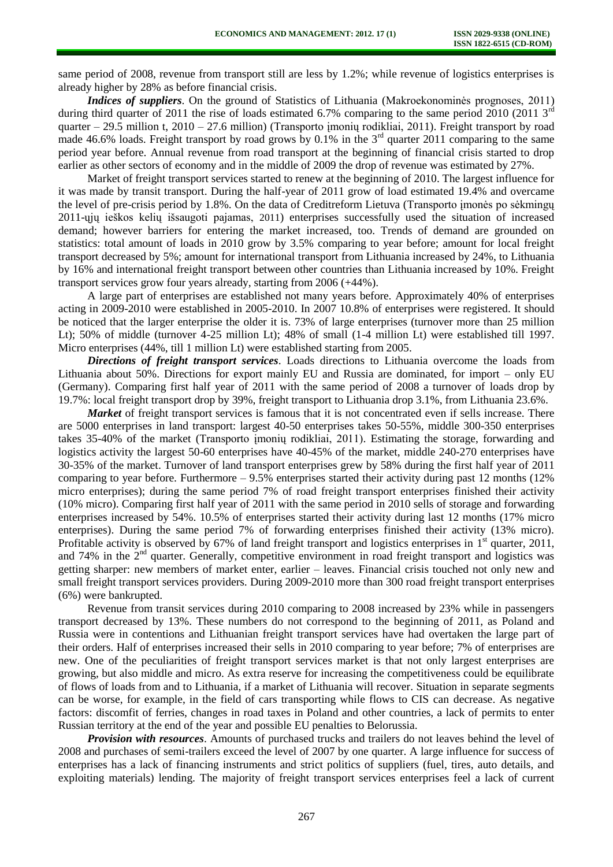same period of 2008, revenue from transport still are less by 1.2%; while revenue of logistics enterprises is already higher by 28% as before financial crisis.

*Indices of suppliers*. On the ground of Statistics of Lithuania (Makroekonominės prognoses, 2011) during third quarter of 2011 the rise of loads estimated 6.7% comparing to the same period 2010 (2011  $3<sup>rd</sup>$ quarter – 29.5 million t, 2010 – 27.6 million) (Transporto įmonių rodikliai, 2011). Freight transport by road made 46.6% loads. Freight transport by road grows by 0.1% in the  $3<sup>rd</sup>$  quarter 2011 comparing to the same period year before. Annual revenue from road transport at the beginning of financial crisis started to drop earlier as other sectors of economy and in the middle of 2009 the drop of revenue was estimated by 27%.

Market of freight transport services started to renew at the beginning of 2010. The largest influence for it was made by transit transport. During the half-year of 2011 grow of load estimated 19.4% and overcame the level of pre-crisis period by 1.8%. On the data of Creditreform Lietuva (Transporto įmonės po sėkmingų 2011-ųjų ieškos kelių išsaugoti pajamas, 2011) enterprises successfully used the situation of increased demand; however barriers for entering the market increased, too. Trends of demand are grounded on statistics: total amount of loads in 2010 grow by 3.5% comparing to year before; amount for local freight transport decreased by 5%; amount for international transport from Lithuania increased by 24%, to Lithuania by 16% and international freight transport between other countries than Lithuania increased by 10%. Freight transport services grow four years already, starting from 2006 (+44%).

A large part of enterprises are established not many years before. Approximately 40% of enterprises acting in 2009-2010 were established in 2005-2010. In 2007 10.8% of enterprises were registered. It should be noticed that the larger enterprise the older it is. 73% of large enterprises (turnover more than 25 million Lt); 50% of middle (turnover 4-25 million Lt); 48% of small (1-4 million Lt) were established till 1997. Micro enterprises (44%, till 1 million Lt) were established starting from 2005.

*Directions of freight transport services*. Loads directions to Lithuania overcome the loads from Lithuania about 50%. Directions for export mainly EU and Russia are dominated, for import – only EU (Germany). Comparing first half year of 2011 with the same period of 2008 a turnover of loads drop by 19.7%: local freight transport drop by 39%, freight transport to Lithuania drop 3.1%, from Lithuania 23.6%.

*Market* of freight transport services is famous that it is not concentrated even if sells increase. There are 5000 enterprises in land transport: largest 40-50 enterprises takes 50-55%, middle 300-350 enterprises takes 35-40% of the market (Transporto įmonių rodikliai, 2011). Estimating the storage, forwarding and logistics activity the largest 50-60 enterprises have 40-45% of the market, middle 240-270 enterprises have 30-35% of the market. Turnover of land transport enterprises grew by 58% during the first half year of 2011 comparing to year before. Furthermore  $-9.5%$  enterprises started their activity during past 12 months (12%) micro enterprises); during the same period 7% of road freight transport enterprises finished their activity (10% micro). Comparing first half year of 2011 with the same period in 2010 sells of storage and forwarding enterprises increased by 54%. 10.5% of enterprises started their activity during last 12 months (17% micro enterprises). During the same period 7% of forwarding enterprises finished their activity (13% micro). Profitable activity is observed by 67% of land freight transport and logistics enterprises in  $1<sup>st</sup>$  quarter, 2011, and 74% in the  $2<sup>nd</sup>$  quarter. Generally, competitive environment in road freight transport and logistics was getting sharper: new members of market enter, earlier – leaves. Financial crisis touched not only new and small freight transport services providers. During 2009-2010 more than 300 road freight transport enterprises (6%) were bankrupted.

Revenue from transit services during 2010 comparing to 2008 increased by 23% while in passengers transport decreased by 13%. These numbers do not correspond to the beginning of 2011, as Poland and Russia were in contentions and Lithuanian freight transport services have had overtaken the large part of their orders. Half of enterprises increased their sells in 2010 comparing to year before; 7% of enterprises are new. One of the peculiarities of freight transport services market is that not only largest enterprises are growing, but also middle and micro. As extra reserve for increasing the competitiveness could be equilibrate of flows of loads from and to Lithuania, if a market of Lithuania will recover. Situation in separate segments can be worse, for example, in the field of cars transporting while flows to CIS can decrease. As negative factors: discomfit of ferries, changes in road taxes in Poland and other countries, a lack of permits to enter Russian territory at the end of the year and possible EU penalties to Belorussia.

*Provision with resources*. Amounts of purchased trucks and trailers do not leaves behind the level of 2008 and purchases of semi-trailers exceed the level of 2007 by one quarter. A large influence for success of enterprises has a lack of financing instruments and strict politics of suppliers (fuel, tires, auto details, and exploiting materials) lending. The majority of freight transport services enterprises feel a lack of current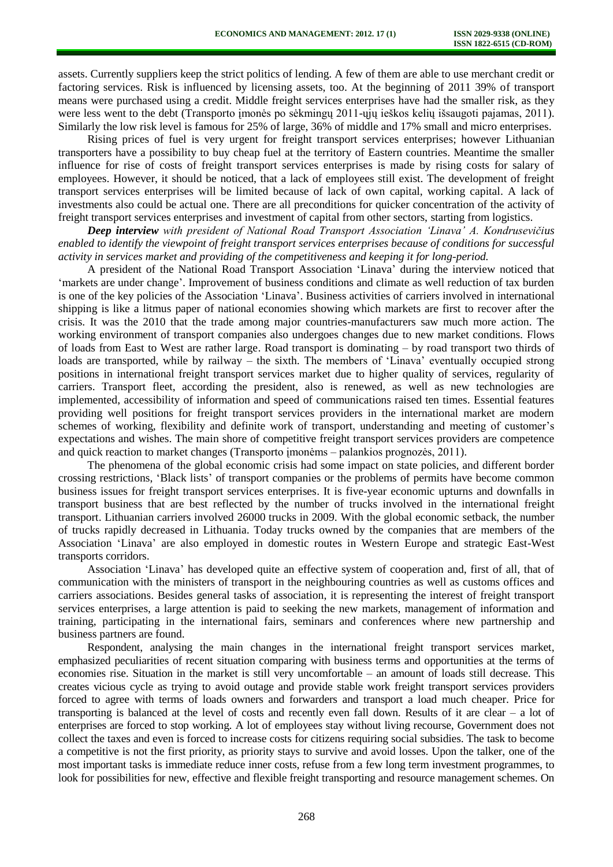assets. Currently suppliers keep the strict politics of lending. A few of them are able to use merchant credit or factoring services. Risk is influenced by licensing assets, too. At the beginning of 2011 39% of transport means were purchased using a credit. Middle freight services enterprises have had the smaller risk, as they were less went to the debt (Transporto įmonės po sėkmingų 2011-ųjų ieškos kelių išsaugoti pajamas, 2011). Similarly the low risk level is famous for 25% of large, 36% of middle and 17% small and micro enterprises.

Rising prices of fuel is very urgent for freight transport services enterprises; however Lithuanian transporters have a possibility to buy cheap fuel at the territory of Eastern countries. Meantime the smaller influence for rise of costs of freight transport services enterprises is made by rising costs for salary of employees. However, it should be noticed, that a lack of employees still exist. The development of freight transport services enterprises will be limited because of lack of own capital, working capital. A lack of investments also could be actual one. There are all preconditions for quicker concentration of the activity of freight transport services enterprises and investment of capital from other sectors, starting from logistics.

*Deep interview with president of National Road Transport Association 'Linava' A. Kondrusevičius enabled to identify the viewpoint of freight transport services enterprises because of conditions for successful activity in services market and providing of the competitiveness and keeping it for long-period.* 

A president of the National Road Transport Association 'Linava' during the interview noticed that 'markets are under change'. Improvement of business conditions and climate as well reduction of tax burden is one of the key policies of the Association 'Linava'. Business activities of carriers involved in international shipping is like a litmus paper of national economies showing which markets are first to recover after the crisis. It was the 2010 that the trade among major countries-manufacturers saw much more action. The working environment of transport companies also undergoes changes due to new market conditions. Flows of loads from East to West are rather large. Road transport is dominating – by road transport two thirds of loads are transported, while by railway – the sixth. The members of 'Linava' eventually occupied strong positions in international freight transport services market due to higher quality of services, regularity of carriers. Transport fleet, according the president, also is renewed, as well as new technologies are implemented, accessibility of information and speed of communications raised ten times. Essential features providing well positions for freight transport services providers in the international market are modern schemes of working, flexibility and definite work of transport, understanding and meeting of customer's expectations and wishes. The main shore of competitive freight transport services providers are competence and quick reaction to market changes (Transporto įmonėms – palankios prognozės, 2011).

The phenomena of the global economic crisis had some impact on state policies, and different border crossing restrictions, 'Black lists' of transport companies or the problems of permits have become common business issues for freight transport services enterprises. It is five-year economic upturns and downfalls in transport business that are best reflected by the number of trucks involved in the international freight transport. Lithuanian carriers involved 26000 trucks in 2009. With the global economic setback, the number of trucks rapidly decreased in Lithuania. Today trucks owned by the companies that are members of the Association 'Linava' are also employed in domestic routes in Western Europe and strategic East-West transports corridors.

Association 'Linava' has developed quite an effective system of cooperation and, first of all, that of communication with the ministers of transport in the neighbouring countries as well as customs offices and carriers associations. Besides general tasks of association, it is representing the interest of freight transport services enterprises, a large attention is paid to seeking the new markets, management of information and training, participating in the international fairs, seminars and conferences where new partnership and business partners are found.

Respondent, analysing the main changes in the international freight transport services market, emphasized peculiarities of recent situation comparing with business terms and opportunities at the terms of economies rise. Situation in the market is still very uncomfortable – an amount of loads still decrease. This creates vicious cycle as trying to avoid outage and provide stable work freight transport services providers forced to agree with terms of loads owners and forwarders and transport a load much cheaper. Price for transporting is balanced at the level of costs and recently even fall down. Results of it are clear – a lot of enterprises are forced to stop working. A lot of employees stay without living recourse, Government does not collect the taxes and even is forced to increase costs for citizens requiring social subsidies. The task to become a competitive is not the first priority, as priority stays to survive and avoid losses. Upon the talker, one of the most important tasks is immediate reduce inner costs, refuse from a few long term investment programmes, to look for possibilities for new, effective and flexible freight transporting and resource management schemes. On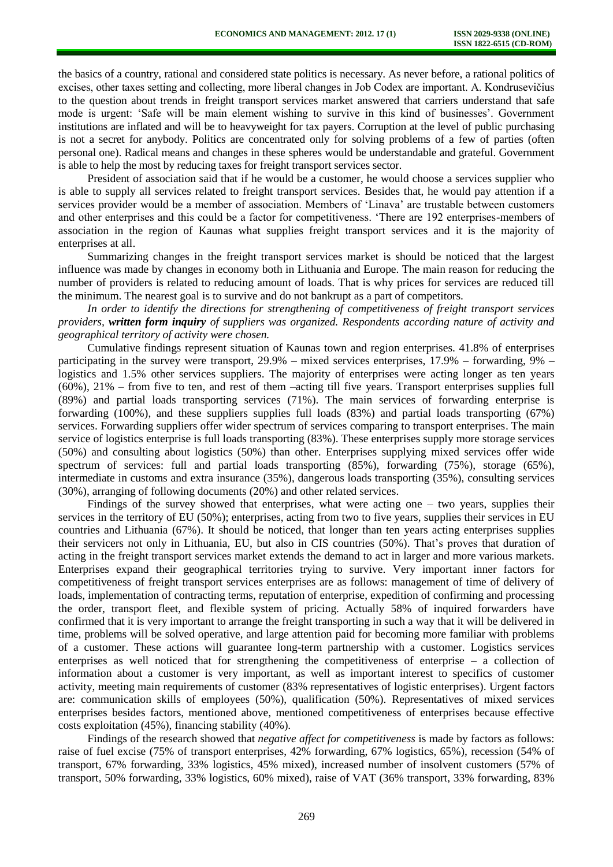the basics of a country, rational and considered state politics is necessary. As never before, a rational politics of excises, other taxes setting and collecting, more liberal changes in Job Codex are important. A. Kondrusevičius to the question about trends in freight transport services market answered that carriers understand that safe mode is urgent: 'Safe will be main element wishing to survive in this kind of businesses'. Government institutions are inflated and will be to heavyweight for tax payers. Corruption at the level of public purchasing is not a secret for anybody. Politics are concentrated only for solving problems of a few of parties (often personal one). Radical means and changes in these spheres would be understandable and grateful. Government is able to help the most by reducing taxes for freight transport services sector.

President of association said that if he would be a customer, he would choose a services supplier who is able to supply all services related to freight transport services. Besides that, he would pay attention if a services provider would be a member of association. Members of 'Linava' are trustable between customers and other enterprises and this could be a factor for competitiveness. 'There are 192 enterprises-members of association in the region of Kaunas what supplies freight transport services and it is the majority of enterprises at all.

Summarizing changes in the freight transport services market is should be noticed that the largest influence was made by changes in economy both in Lithuania and Europe. The main reason for reducing the number of providers is related to reducing amount of loads. That is why prices for services are reduced till the minimum. The nearest goal is to survive and do not bankrupt as a part of competitors.

*In order to identify the directions for strengthening of competitiveness of freight transport services providers, written form inquiry of suppliers was organized. Respondents according nature of activity and geographical territory of activity were chosen.* 

Cumulative findings represent situation of Kaunas town and region enterprises. 41.8% of enterprises participating in the survey were transport,  $29.9\%$  – mixed services enterprises,  $17.9\%$  – forwarding,  $9\%$  – logistics and 1.5% other services suppliers. The majority of enterprises were acting longer as ten years (60%), 21% – from five to ten, and rest of them –acting till five years. Transport enterprises supplies full (89%) and partial loads transporting services (71%). The main services of forwarding enterprise is forwarding (100%), and these suppliers supplies full loads (83%) and partial loads transporting (67%) services. Forwarding suppliers offer wider spectrum of services comparing to transport enterprises. The main service of logistics enterprise is full loads transporting (83%). These enterprises supply more storage services (50%) and consulting about logistics (50%) than other. Enterprises supplying mixed services offer wide spectrum of services: full and partial loads transporting (85%), forwarding (75%), storage (65%), intermediate in customs and extra insurance (35%), dangerous loads transporting (35%), consulting services (30%), arranging of following documents (20%) and other related services.

Findings of the survey showed that enterprises, what were acting one – two years, supplies their services in the territory of EU (50%); enterprises, acting from two to five years, supplies their services in EU countries and Lithuania (67%). It should be noticed, that longer than ten years acting enterprises supplies their servicers not only in Lithuania, EU, but also in CIS countries (50%). That's proves that duration of acting in the freight transport services market extends the demand to act in larger and more various markets. Enterprises expand their geographical territories trying to survive. Very important inner factors for competitiveness of freight transport services enterprises are as follows: management of time of delivery of loads, implementation of contracting terms, reputation of enterprise, expedition of confirming and processing the order, transport fleet, and flexible system of pricing. Actually 58% of inquired forwarders have confirmed that it is very important to arrange the freight transporting in such a way that it will be delivered in time, problems will be solved operative, and large attention paid for becoming more familiar with problems of a customer. These actions will guarantee long-term partnership with a customer. Logistics services enterprises as well noticed that for strengthening the competitiveness of enterprise – a collection of information about a customer is very important, as well as important interest to specifics of customer activity, meeting main requirements of customer (83% representatives of logistic enterprises). Urgent factors are: communication skills of employees (50%), qualification (50%). Representatives of mixed services enterprises besides factors, mentioned above, mentioned competitiveness of enterprises because effective costs exploitation (45%), financing stability (40%).

Findings of the research showed that *negative affect for competitiveness* is made by factors as follows: raise of fuel excise (75% of transport enterprises, 42% forwarding, 67% logistics, 65%), recession (54% of transport, 67% forwarding, 33% logistics, 45% mixed), increased number of insolvent customers (57% of transport, 50% forwarding, 33% logistics, 60% mixed), raise of VAT (36% transport, 33% forwarding, 83%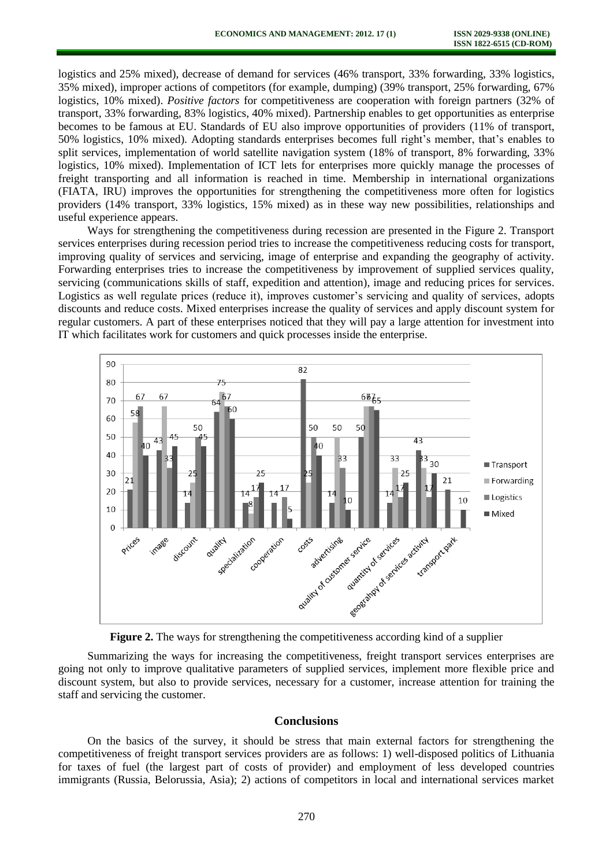logistics and 25% mixed), decrease of demand for services (46% transport, 33% forwarding, 33% logistics, 35% mixed), improper actions of competitors (for example, dumping) (39% transport, 25% forwarding, 67% logistics, 10% mixed). *Positive factors* for competitiveness are cooperation with foreign partners (32% of transport, 33% forwarding, 83% logistics, 40% mixed). Partnership enables to get opportunities as enterprise becomes to be famous at EU. Standards of EU also improve opportunities of providers (11% of transport, 50% logistics, 10% mixed). Adopting standards enterprises becomes full right's member, that's enables to split services, implementation of world satellite navigation system (18% of transport, 8% forwarding, 33% logistics, 10% mixed). Implementation of ICT lets for enterprises more quickly manage the processes of freight transporting and all information is reached in time. Membership in international organizations (FIATA, IRU) improves the opportunities for strengthening the competitiveness more often for logistics providers (14% transport, 33% logistics, 15% mixed) as in these way new possibilities, relationships and useful experience appears.

Ways for strengthening the competitiveness during recession are presented in the Figure 2. Transport services enterprises during recession period tries to increase the competitiveness reducing costs for transport, improving quality of services and servicing, image of enterprise and expanding the geography of activity. Forwarding enterprises tries to increase the competitiveness by improvement of supplied services quality, servicing (communications skills of staff, expedition and attention), image and reducing prices for services. Logistics as well regulate prices (reduce it), improves customer's servicing and quality of services, adopts discounts and reduce costs. Mixed enterprises increase the quality of services and apply discount system for regular customers. A part of these enterprises noticed that they will pay a large attention for investment into IT which facilitates work for customers and quick processes inside the enterprise.



**Figure 2.** The ways for strengthening the competitiveness according kind of a supplier

Summarizing the ways for increasing the competitiveness, freight transport services enterprises are going not only to improve qualitative parameters of supplied services, implement more flexible price and discount system, but also to provide services, necessary for a customer, increase attention for training the staff and servicing the customer.

## **Conclusions**

On the basics of the survey, it should be stress that main external factors for strengthening the competitiveness of freight transport services providers are as follows: 1) well-disposed politics of Lithuania for taxes of fuel (the largest part of costs of provider) and employment of less developed countries immigrants (Russia, Belorussia, Asia); 2) actions of competitors in local and international services market